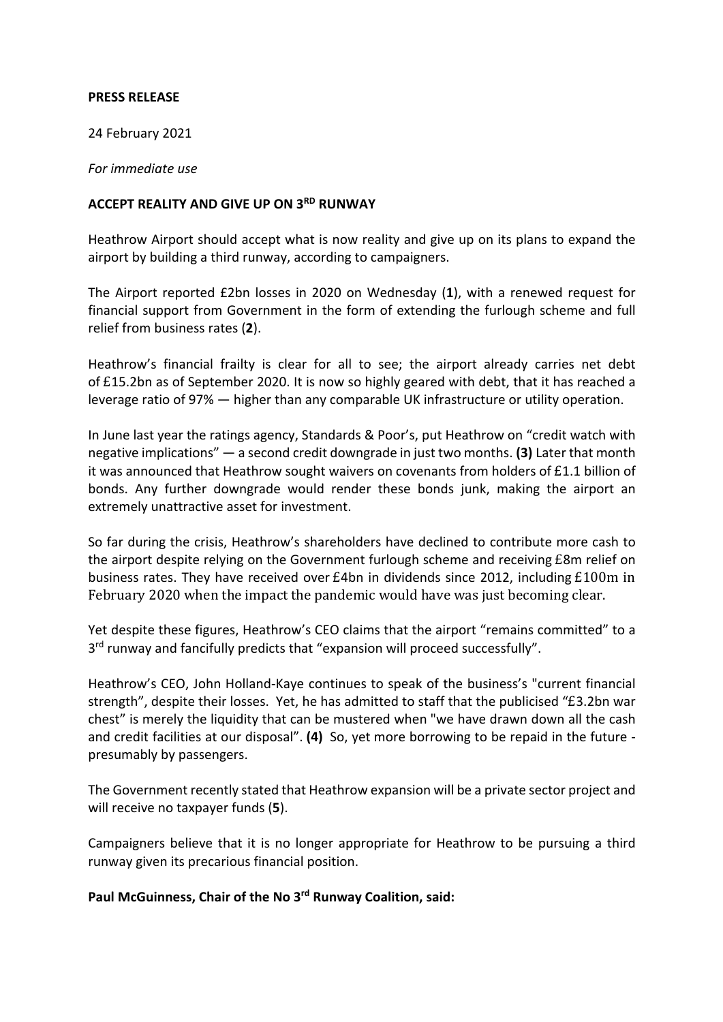## **PRESS RELEASE**

24 February 2021

*For immediate use*

## **ACCEPT REALITY AND GIVE UP ON 3RD RUNWAY**

Heathrow Airport should accept what is now reality and give up on its plans to expand the airport by building a third runway, according to campaigners.

The Airport reported £2bn losses in 2020 on Wednesday (**1**), with a renewed request for financial support from Government in the form of extending the furlough scheme and full relief from business rates (**2**).

Heathrow's financial frailty is clear for all to see; the airport already carries net debt of £15.2bn as of September 2020. It is now so highly geared with debt, that it has reached a leverage ratio of 97% — higher than any comparable UK infrastructure or utility operation.

In June last year the ratings agency, Standards & Poor's, put Heathrow on "credit watch with negative implications" — a second credit downgrade in just two months. **(3)** Later that month it was announced that Heathrow sought waivers on covenants from holders of £1.1 billion of bonds. Any further downgrade would render these bonds junk, making the airport an extremely unattractive asset for investment.

So far during the crisis, Heathrow's shareholders have declined to contribute more cash to the airport despite relying on the Government furlough scheme and receiving £8m relief on business rates. They have received over  $E4$ bn in dividends since 2012, including  $E100m$  in February 2020 when the impact the pandemic would have was just becoming clear.

Yet despite these figures, Heathrow's CEO claims that the airport "remains committed" to a 3<sup>rd</sup> runway and fancifully predicts that "expansion will proceed successfully".

Heathrow's CEO, John Holland-Kaye continues to speak of the business's "current financial strength", despite their losses. Yet, he has admitted to staff that the publicised "£3.2bn war chest" is merely the liquidity that can be mustered when "we have drawn down all the cash and credit facilities at our disposal". **(4)** So, yet more borrowing to be repaid in the future presumably by passengers.

The Government recently stated that Heathrow expansion will be a private sector project and will receive no taxpayer funds (**5**).

Campaigners believe that it is no longer appropriate for Heathrow to be pursuing a third runway given its precarious financial position.

## **Paul McGuinness, Chair of the No 3rd Runway Coalition, said:**